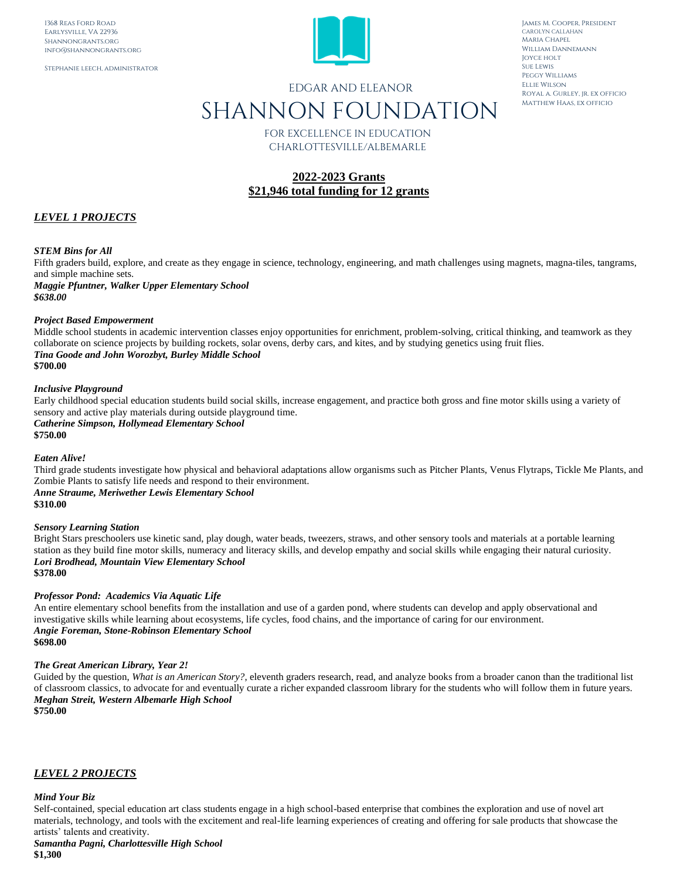Stephanie leech, administrator



James M. Cooper, President CAROLYN CALLAHAN Maria Chapel William Dannemann Joyce holt Sue Lewis Peggy Williams Ellie Wilson Royal a. Gurley, jr. ex officio Matthew Haas, ex officio

# EDGAR AND ELEANOR SHANNON FOUNDATION

FOR EXCELLENCE IN EDUCATION CHARLOTTESVILLE/ALBEMARLE

# **2022-2023 Grants \$21,946 total funding for 12 grants**

# *LEVEL 1 PROJECTS*

# *STEM Bins for All*

Fifth graders build, explore, and create as they engage in science, technology, engineering, and math challenges using magnets, magna-tiles, tangrams, and simple machine sets.

*Maggie Pfuntner, Walker Upper Elementary School \$638.00*

#### *Project Based Empowerment*

Middle school students in academic intervention classes enjoy opportunities for enrichment, problem-solving, critical thinking, and teamwork as they collaborate on science projects by building rockets, solar ovens, derby cars, and kites, and by studying genetics using fruit flies. *Tina Goode and John Worozbyt, Burley Middle School* **\$700.00**

#### *Inclusive Playground*

Early childhood special education students build social skills, increase engagement, and practice both gross and fine motor skills using a variety of sensory and active play materials during outside playground time. *Catherine Simpson, Hollymead Elementary School*

**\$750.00**

#### *Eaten Alive!*

Third grade students investigate how physical and behavioral adaptations allow organisms such as Pitcher Plants, Venus Flytraps, Tickle Me Plants, and Zombie Plants to satisfy life needs and respond to their environment.

# *Anne Straume, Meriwether Lewis Elementary School*

**\$310.00**

#### *Sensory Learning Station*

Bright Stars preschoolers use kinetic sand, play dough, water beads, tweezers, straws, and other sensory tools and materials at a portable learning station as they build fine motor skills, numeracy and literacy skills, and develop empathy and social skills while engaging their natural curiosity. *Lori Brodhead, Mountain View Elementary School* **\$378.00**

# *Professor Pond: Academics Via Aquatic Life*

An entire elementary school benefits from the installation and use of a garden pond, where students can develop and apply observational and investigative skills while learning about ecosystems, life cycles, food chains, and the importance of caring for our environment. *Angie Foreman, Stone-Robinson Elementary School* **\$698.00**

#### *The Great American Library, Year 2!*

Guided by the question, *What is an American Story?*, eleventh graders research, read, and analyze books from a broader canon than the traditional list of classroom classics, to advocate for and eventually curate a richer expanded classroom library for the students who will follow them in future years. *Meghan Streit, Western Albemarle High School* **\$750.00**

# *LEVEL 2 PROJECTS*

#### *Mind Your Biz*

Self-contained, special education art class students engage in a high school-based enterprise that combines the exploration and use of novel art materials, technology, and tools with the excitement and real-life learning experiences of creating and offering for sale products that showcase the artists' talents and creativity.

*Samantha Pagni, Charlottesville High School* **\$1,300**